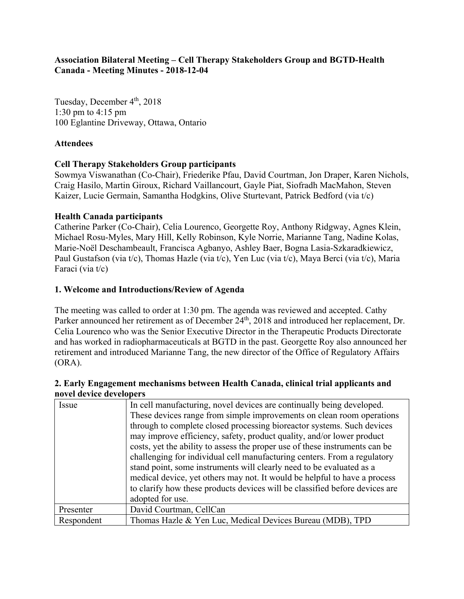## **Association Bilateral Meeting – Cell Therapy Stakeholders Group and BGTD-Health Canada - Meeting Minutes - 2018-12-04**

Tuesday, December 4<sup>th</sup>, 2018 1:30 pm to 4:15 pm 100 Eglantine Driveway, Ottawa, Ontario

## **Attendees**

## **Cell Therapy Stakeholders Group participants**

Sowmya Viswanathan (Co-Chair), Friederike Pfau, David Courtman, Jon Draper, Karen Nichols, Craig Hasilo, Martin Giroux, Richard Vaillancourt, Gayle Piat, Siofradh MacMahon, Steven Kaizer, Lucie Germain, Samantha Hodgkins, Olive Sturtevant, Patrick Bedford (via t/c)

#### **Health Canada participants**

Catherine Parker (Co-Chair), Celia Lourenco, Georgette Roy, Anthony Ridgway, Agnes Klein, Michael Rosu-Myles, Mary Hill, Kelly Robinson, Kyle Norrie, Marianne Tang, Nadine Kolas, Marie-Noël Deschambeault, Francisca Agbanyo, Ashley Baer, Bogna Lasia-Szkaradkiewicz, Paul Gustafson (via t/c), Thomas Hazle (via t/c), Yen Luc (via t/c), Maya Berci (via t/c), Maria Faraci (via t/c)

## **1. Welcome and Introductions/Review of Agenda**

The meeting was called to order at 1:30 pm. The agenda was reviewed and accepted. Cathy Parker announced her retirement as of December 24<sup>th</sup>, 2018 and introduced her replacement, Dr. Celia Lourenco who was the Senior Executive Director in the Therapeutic Products Directorate and has worked in radiopharmaceuticals at BGTD in the past. Georgette Roy also announced her retirement and introduced Marianne Tang, the new director of the Office of Regulatory Affairs (ORA).

#### **2. Early Engagement mechanisms between Health Canada, clinical trial applicants and novel device developers**

| Issue      | In cell manufacturing, novel devices are continually being developed.<br>These devices range from simple improvements on clean room operations<br>through to complete closed processing bioreactor systems. Such devices<br>may improve efficiency, safety, product quality, and/or lower product<br>costs, yet the ability to assess the proper use of these instruments can be<br>challenging for individual cell manufacturing centers. From a regulatory<br>stand point, some instruments will clearly need to be evaluated as a<br>medical device, yet others may not. It would be helpful to have a process<br>to clarify how these products devices will be classified before devices are |
|------------|--------------------------------------------------------------------------------------------------------------------------------------------------------------------------------------------------------------------------------------------------------------------------------------------------------------------------------------------------------------------------------------------------------------------------------------------------------------------------------------------------------------------------------------------------------------------------------------------------------------------------------------------------------------------------------------------------|
|            | adopted for use.                                                                                                                                                                                                                                                                                                                                                                                                                                                                                                                                                                                                                                                                                 |
| Presenter  | David Courtman, CellCan                                                                                                                                                                                                                                                                                                                                                                                                                                                                                                                                                                                                                                                                          |
| Respondent | Thomas Hazle & Yen Luc, Medical Devices Bureau (MDB), TPD                                                                                                                                                                                                                                                                                                                                                                                                                                                                                                                                                                                                                                        |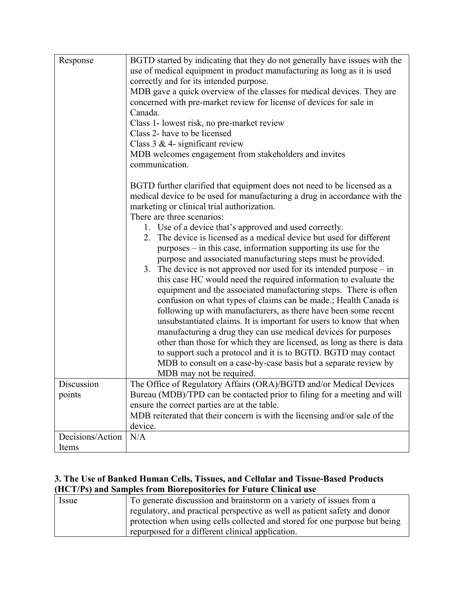| Response                  | BGTD started by indicating that they do not generally have issues with the<br>use of medical equipment in product manufacturing as long as it is used<br>correctly and for its intended purpose.<br>MDB gave a quick overview of the classes for medical devices. They are<br>concerned with pre-market review for license of devices for sale in<br>Canada.<br>Class 1- lowest risk, no pre-market review<br>Class 2- have to be licensed<br>Class $3 \& 4$ - significant review<br>MDB welcomes engagement from stakeholders and invites<br>communication.<br>BGTD further clarified that equipment does not need to be licensed as a                                                                                                                                                                                                                                                                                                                                                                                                                                                                                                                                                                                                         |
|---------------------------|-------------------------------------------------------------------------------------------------------------------------------------------------------------------------------------------------------------------------------------------------------------------------------------------------------------------------------------------------------------------------------------------------------------------------------------------------------------------------------------------------------------------------------------------------------------------------------------------------------------------------------------------------------------------------------------------------------------------------------------------------------------------------------------------------------------------------------------------------------------------------------------------------------------------------------------------------------------------------------------------------------------------------------------------------------------------------------------------------------------------------------------------------------------------------------------------------------------------------------------------------|
| Discussion                | medical device to be used for manufacturing a drug in accordance with the<br>marketing or clinical trial authorization.<br>There are three scenarios:<br>1. Use of a device that's approved and used correctly.<br>2. The device is licensed as a medical device but used for different<br>$purposes - in this case, information supporting its use for the$<br>purpose and associated manufacturing steps must be provided.<br>3. The device is not approved nor used for its intended purpose $-$ in<br>this case HC would need the required information to evaluate the<br>equipment and the associated manufacturing steps. There is often<br>confusion on what types of claims can be made.; Health Canada is<br>following up with manufacturers, as there have been some recent<br>unsubstantiated claims. It is important for users to know that when<br>manufacturing a drug they can use medical devices for purposes<br>other than those for which they are licensed, as long as there is data<br>to support such a protocol and it is to BGTD. BGTD may contact<br>MDB to consult on a case-by-case basis but a separate review by<br>MDB may not be required.<br>The Office of Regulatory Affairs (ORA)/BGTD and/or Medical Devices |
| points                    | Bureau (MDB)/TPD can be contacted prior to filing for a meeting and will<br>ensure the correct parties are at the table.<br>MDB reiterated that their concern is with the licensing and/or sale of the                                                                                                                                                                                                                                                                                                                                                                                                                                                                                                                                                                                                                                                                                                                                                                                                                                                                                                                                                                                                                                          |
|                           | device.                                                                                                                                                                                                                                                                                                                                                                                                                                                                                                                                                                                                                                                                                                                                                                                                                                                                                                                                                                                                                                                                                                                                                                                                                                         |
| Decisions/Action<br>Items | N/A                                                                                                                                                                                                                                                                                                                                                                                                                                                                                                                                                                                                                                                                                                                                                                                                                                                                                                                                                                                                                                                                                                                                                                                                                                             |

## **3. The Use of Banked Human Cells, Tissues, and Cellular and Tissue-Based Products (HCT/Ps) and Samples from Biorepositories for Future Clinical use**

| Issue | To generate discussion and brainstorm on a variety of issues from a        |
|-------|----------------------------------------------------------------------------|
|       | regulatory, and practical perspective as well as patient safety and donor  |
|       | protection when using cells collected and stored for one purpose but being |
|       | repurposed for a different clinical application.                           |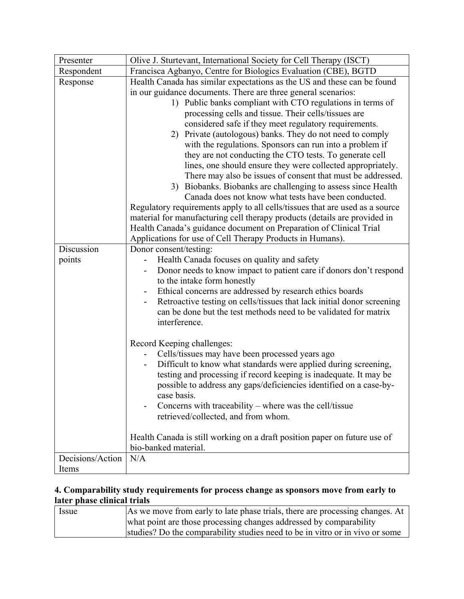| Francisca Agbanyo, Centre for Biologics Evaluation (CBE), BGTD<br>Respondent<br>Health Canada has similar expectations as the US and these can be found<br>Response<br>in our guidance documents. There are three general scenarios:<br>1) Public banks compliant with CTO regulations in terms of<br>processing cells and tissue. Their cells/tissues are<br>considered safe if they meet regulatory requirements.<br>2) Private (autologous) banks. They do not need to comply<br>with the regulations. Sponsors can run into a problem if<br>they are not conducting the CTO tests. To generate cell<br>lines, one should ensure they were collected appropriately.<br>There may also be issues of consent that must be addressed.<br>3) Biobanks. Biobanks are challenging to assess since Health<br>Canada does not know what tests have been conducted.<br>Regulatory requirements apply to all cells/tissues that are used as a source<br>material for manufacturing cell therapy products (details are provided in<br>Health Canada's guidance document on Preparation of Clinical Trial<br>Applications for use of Cell Therapy Products in Humans).<br>Discussion<br>Donor consent/testing:<br>Health Canada focuses on quality and safety<br>points<br>Donor needs to know impact to patient care if donors don't respond<br>to the intake form honestly<br>Ethical concerns are addressed by research ethics boards<br>Retroactive testing on cells/tissues that lack initial donor screening<br>can be done but the test methods need to be validated for matrix<br>interference.<br>Record Keeping challenges:<br>Cells/tissues may have been processed years ago<br>Difficult to know what standards were applied during screening,<br>testing and processing if record keeping is inadequate. It may be<br>possible to address any gaps/deficiencies identified on a case-by-<br>case basis.<br>Concerns with traceability – where was the cell/tissue<br>retrieved/collected, and from whom. | Presenter | Olive J. Sturtevant, International Society for Cell Therapy (ISCT)        |
|---------------------------------------------------------------------------------------------------------------------------------------------------------------------------------------------------------------------------------------------------------------------------------------------------------------------------------------------------------------------------------------------------------------------------------------------------------------------------------------------------------------------------------------------------------------------------------------------------------------------------------------------------------------------------------------------------------------------------------------------------------------------------------------------------------------------------------------------------------------------------------------------------------------------------------------------------------------------------------------------------------------------------------------------------------------------------------------------------------------------------------------------------------------------------------------------------------------------------------------------------------------------------------------------------------------------------------------------------------------------------------------------------------------------------------------------------------------------------------------------------------------------------------------------------------------------------------------------------------------------------------------------------------------------------------------------------------------------------------------------------------------------------------------------------------------------------------------------------------------------------------------------------------------------------------------------------------------------------------------------------------------|-----------|---------------------------------------------------------------------------|
|                                                                                                                                                                                                                                                                                                                                                                                                                                                                                                                                                                                                                                                                                                                                                                                                                                                                                                                                                                                                                                                                                                                                                                                                                                                                                                                                                                                                                                                                                                                                                                                                                                                                                                                                                                                                                                                                                                                                                                                                               |           |                                                                           |
|                                                                                                                                                                                                                                                                                                                                                                                                                                                                                                                                                                                                                                                                                                                                                                                                                                                                                                                                                                                                                                                                                                                                                                                                                                                                                                                                                                                                                                                                                                                                                                                                                                                                                                                                                                                                                                                                                                                                                                                                               |           |                                                                           |
|                                                                                                                                                                                                                                                                                                                                                                                                                                                                                                                                                                                                                                                                                                                                                                                                                                                                                                                                                                                                                                                                                                                                                                                                                                                                                                                                                                                                                                                                                                                                                                                                                                                                                                                                                                                                                                                                                                                                                                                                               |           |                                                                           |
|                                                                                                                                                                                                                                                                                                                                                                                                                                                                                                                                                                                                                                                                                                                                                                                                                                                                                                                                                                                                                                                                                                                                                                                                                                                                                                                                                                                                                                                                                                                                                                                                                                                                                                                                                                                                                                                                                                                                                                                                               |           |                                                                           |
|                                                                                                                                                                                                                                                                                                                                                                                                                                                                                                                                                                                                                                                                                                                                                                                                                                                                                                                                                                                                                                                                                                                                                                                                                                                                                                                                                                                                                                                                                                                                                                                                                                                                                                                                                                                                                                                                                                                                                                                                               |           |                                                                           |
|                                                                                                                                                                                                                                                                                                                                                                                                                                                                                                                                                                                                                                                                                                                                                                                                                                                                                                                                                                                                                                                                                                                                                                                                                                                                                                                                                                                                                                                                                                                                                                                                                                                                                                                                                                                                                                                                                                                                                                                                               |           |                                                                           |
|                                                                                                                                                                                                                                                                                                                                                                                                                                                                                                                                                                                                                                                                                                                                                                                                                                                                                                                                                                                                                                                                                                                                                                                                                                                                                                                                                                                                                                                                                                                                                                                                                                                                                                                                                                                                                                                                                                                                                                                                               |           |                                                                           |
|                                                                                                                                                                                                                                                                                                                                                                                                                                                                                                                                                                                                                                                                                                                                                                                                                                                                                                                                                                                                                                                                                                                                                                                                                                                                                                                                                                                                                                                                                                                                                                                                                                                                                                                                                                                                                                                                                                                                                                                                               |           | Health Canada is still working on a draft position paper on future use of |
| bio-banked material.<br>Decisions/Action<br>N/A                                                                                                                                                                                                                                                                                                                                                                                                                                                                                                                                                                                                                                                                                                                                                                                                                                                                                                                                                                                                                                                                                                                                                                                                                                                                                                                                                                                                                                                                                                                                                                                                                                                                                                                                                                                                                                                                                                                                                               |           |                                                                           |
| Items                                                                                                                                                                                                                                                                                                                                                                                                                                                                                                                                                                                                                                                                                                                                                                                                                                                                                                                                                                                                                                                                                                                                                                                                                                                                                                                                                                                                                                                                                                                                                                                                                                                                                                                                                                                                                                                                                                                                                                                                         |           |                                                                           |

## **4. Comparability study requirements for process change as sponsors move from early to later phase clinical trials**

| Issue | As we move from early to late phase trials, there are processing changes. At |
|-------|------------------------------------------------------------------------------|
|       | what point are those processing changes addressed by comparability           |
|       | studies? Do the comparability studies need to be in vitro or in vivo or some |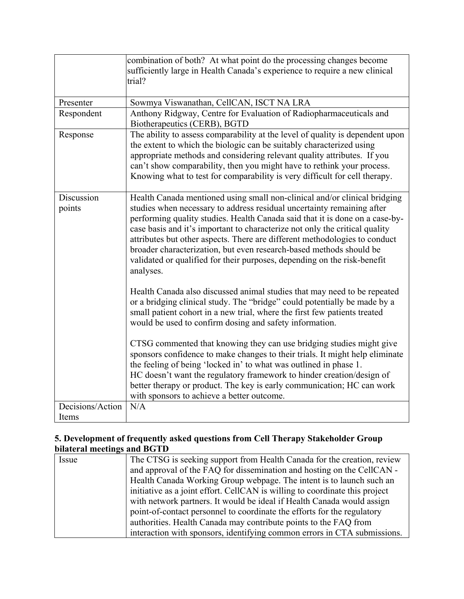|                  | combination of both? At what point do the processing changes become           |
|------------------|-------------------------------------------------------------------------------|
|                  | sufficiently large in Health Canada's experience to require a new clinical    |
|                  | trial?                                                                        |
|                  |                                                                               |
| Presenter        | Sowmya Viswanathan, CellCAN, ISCT NA LRA                                      |
| Respondent       | Anthony Ridgway, Centre for Evaluation of Radiopharmaceuticals and            |
|                  | Biotherapeutics (CERB), BGTD                                                  |
| Response         | The ability to assess comparability at the level of quality is dependent upon |
|                  | the extent to which the biologic can be suitably characterized using          |
|                  | appropriate methods and considering relevant quality attributes. If you       |
|                  | can't show comparability, then you might have to rethink your process.        |
|                  | Knowing what to test for comparability is very difficult for cell therapy.    |
|                  |                                                                               |
| Discussion       | Health Canada mentioned using small non-clinical and/or clinical bridging     |
| points           | studies when necessary to address residual uncertainty remaining after        |
|                  | performing quality studies. Health Canada said that it is done on a case-by-  |
|                  | case basis and it's important to characterize not only the critical quality   |
|                  | attributes but other aspects. There are different methodologies to conduct    |
|                  | broader characterization, but even research-based methods should be           |
|                  | validated or qualified for their purposes, depending on the risk-benefit      |
|                  | analyses.                                                                     |
|                  |                                                                               |
|                  | Health Canada also discussed animal studies that may need to be repeated      |
|                  | or a bridging clinical study. The "bridge" could potentially be made by a     |
|                  | small patient cohort in a new trial, where the first few patients treated     |
|                  | would be used to confirm dosing and safety information.                       |
|                  |                                                                               |
|                  | CTSG commented that knowing they can use bridging studies might give          |
|                  | sponsors confidence to make changes to their trials. It might help eliminate  |
|                  | the feeling of being 'locked in' to what was outlined in phase 1.             |
|                  | HC doesn't want the regulatory framework to hinder creation/design of         |
|                  | better therapy or product. The key is early communication; HC can work        |
|                  | with sponsors to achieve a better outcome.                                    |
| Decisions/Action | N/A                                                                           |
| Items            |                                                                               |

## **5. Development of frequently asked questions from Cell Therapy Stakeholder Group bilateral meetings and BGTD**

| Issue | The CTSG is seeking support from Health Canada for the creation, review     |
|-------|-----------------------------------------------------------------------------|
|       | and approval of the FAQ for dissemination and hosting on the CellCAN -      |
|       | Health Canada Working Group webpage. The intent is to launch such an        |
|       | initiative as a joint effort. CellCAN is willing to coordinate this project |
|       | with network partners. It would be ideal if Health Canada would assign      |
|       | point-of-contact personnel to coordinate the efforts for the regulatory     |
|       | authorities. Health Canada may contribute points to the FAQ from            |
|       | interaction with sponsors, identifying common errors in CTA submissions.    |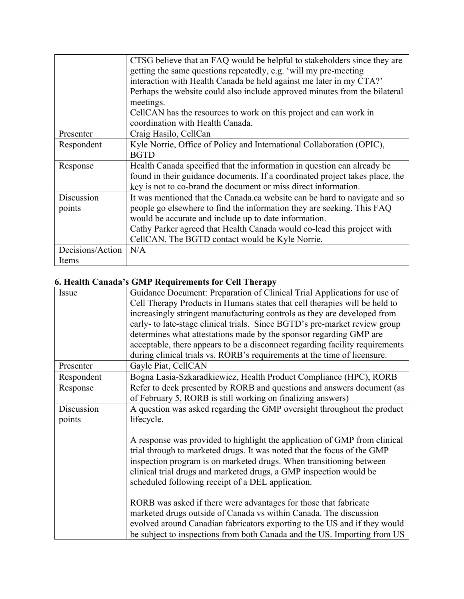|                  | CTSG believe that an FAQ would be helpful to stakeholders since they are     |
|------------------|------------------------------------------------------------------------------|
|                  | getting the same questions repeatedly, e.g. 'will my pre-meeting             |
|                  | interaction with Health Canada be held against me later in my CTA?'          |
|                  | Perhaps the website could also include approved minutes from the bilateral   |
|                  | meetings.                                                                    |
|                  | CellCAN has the resources to work on this project and can work in            |
|                  | coordination with Health Canada.                                             |
| Presenter        | Craig Hasilo, CellCan                                                        |
| Respondent       | Kyle Norrie, Office of Policy and International Collaboration (OPIC),        |
|                  | <b>BGTD</b>                                                                  |
| Response         | Health Canada specified that the information in question can already be      |
|                  | found in their guidance documents. If a coordinated project takes place, the |
|                  | key is not to co-brand the document or miss direct information.              |
| Discussion       | It was mentioned that the Canada.ca website can be hard to navigate and so   |
| points           | people go elsewhere to find the information they are seeking. This FAQ       |
|                  | would be accurate and include up to date information.                        |
|                  | Cathy Parker agreed that Health Canada would co-lead this project with       |
|                  | CellCAN. The BGTD contact would be Kyle Norrie.                              |
| Decisions/Action | N/A                                                                          |
| Items            |                                                                              |

# **6. Health Canada's GMP Requirements for Cell Therapy**

| Issue      | Guidance Document: Preparation of Clinical Trial Applications for use of<br>Cell Therapy Products in Humans states that cell therapies will be held to<br>increasingly stringent manufacturing controls as they are developed from<br>early- to late-stage clinical trials. Since BGTD's pre-market review group<br>determines what attestations made by the sponsor regarding GMP are<br>acceptable, there appears to be a disconnect regarding facility requirements |
|------------|------------------------------------------------------------------------------------------------------------------------------------------------------------------------------------------------------------------------------------------------------------------------------------------------------------------------------------------------------------------------------------------------------------------------------------------------------------------------|
|            | during clinical trials vs. RORB's requirements at the time of licensure.                                                                                                                                                                                                                                                                                                                                                                                               |
| Presenter  | Gayle Piat, CellCAN                                                                                                                                                                                                                                                                                                                                                                                                                                                    |
| Respondent | Bogna Lasia-Szkaradkiewicz, Health Product Compliance (HPC), RORB                                                                                                                                                                                                                                                                                                                                                                                                      |
| Response   | Refer to deck presented by RORB and questions and answers document (as<br>of February 5, RORB is still working on finalizing answers)                                                                                                                                                                                                                                                                                                                                  |
| Discussion | A question was asked regarding the GMP oversight throughout the product                                                                                                                                                                                                                                                                                                                                                                                                |
| points     | lifecycle.                                                                                                                                                                                                                                                                                                                                                                                                                                                             |
|            | A response was provided to highlight the application of GMP from clinical<br>trial through to marketed drugs. It was noted that the focus of the GMP<br>inspection program is on marketed drugs. When transitioning between<br>clinical trial drugs and marketed drugs, a GMP inspection would be<br>scheduled following receipt of a DEL application.                                                                                                                 |
|            | RORB was asked if there were advantages for those that fabricate<br>marketed drugs outside of Canada vs within Canada. The discussion<br>evolved around Canadian fabricators exporting to the US and if they would<br>be subject to inspections from both Canada and the US. Importing from US                                                                                                                                                                         |